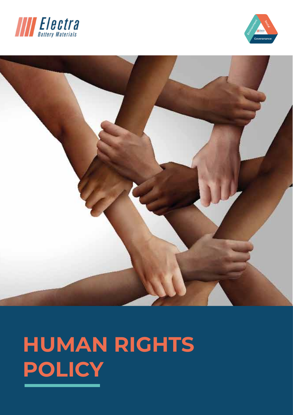





# **HUMAN RIGHTS POLICY**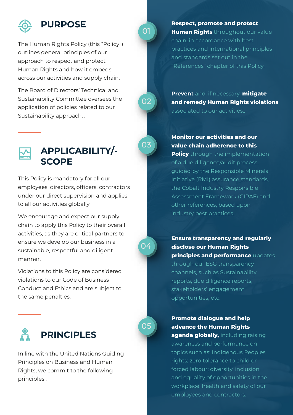

The Human Rights Policy (this "Policy") outlines general principles of our approach to respect and protect Human Rights and how it embeds across our activities and supply chain.

The Board of Directors' Technical and Sustainability Committee oversees the application of policies related to our Sustainability approach. .



This Policy is mandatory for all our employees, directors, officers, contractors under our direct supervision and applies to all our activities globally.

We encourage and expect our supply chain to apply this Policy to their overall activities, as they are critical partners to ensure we develop our business in a sustainable, respectful and diligent manner.

Violations to this Policy are considered violations to our Code of Business Conduct and Ethics and are subject to the same penalties.



In line with the United Nations Guiding Principles on Business and Human Rights, we commit to the following principles:.

**Respect, promote and protect Human Rights** throughout our value chain, in accordance with best practices and international principles and standards set out in the "References" chapter of this Policy.

**Prevent** and, if necessary, **mitigate and remedy Human Rights violations**  associated to our activities..

**Monitor our activities and our value chain adherence to this** 

**Policy** through the implementation of a due diligence/audit process, guided by the Responsible Minerals Initiative (RMI) assurance standards, the Cobalt Industry Responsible Assessment Framework (CIRAF) and other references, based upon industry best practices.

**Ensure transparency and regularly disclose our Human Rights principles and performance** updates through our ESG transparency channels, such as Sustainability reports, due diligence reports, stakeholders' engagement opportunities, etc.

**Promote dialogue and help advance the Human Rights** 

**agenda globally,** including raising awareness and performance on topics such as: Indigenous Peoples rights; zero tolerance to child or forced labour; diversity, inclusion and equality of opportunities in the workplace; health and safety of our employees and contractors.

05

04

01

02

03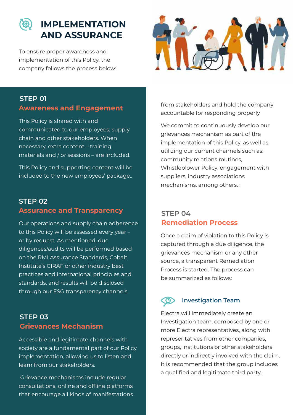

### **IMPLEMENTATION AND ASSURANCE**

To ensure proper awareness and implementation of this Policy, the company follows the process below:.



## **STEP 01**

This Policy is shared with and communicated to our employees, supply chain and other stakeholders. When necessary, extra content – training materials and / or sessions – are included.

This Policy and supporting content will be included to the new employees' package..

#### **Assurance and Transparency STEP 02**

Our operations and supply chain adherence to this Policy will be assessed every year – or by request. As mentioned, due diligences/audits will be performed based on the RMI Assurance Standards, Cobalt Institute's CIRAF or other industry best practices and international principles and standards, and results will be disclosed through our ESG transparency channels.

### **Grievances Mechanism STEP 03**

Accessible and legitimate channels with society are a fundamental part of our Policy implementation, allowing us to listen and learn from our stakeholders.

 Grievance mechanisms include regular consultations, online and offline platforms that encourage all kinds of manifestations

**Awareness and Engagement** from stakeholders and hold the company accountable for responding properly.

> We commit to continuously develop our grievances mechanism as part of the implementation of this Policy, as well as utilizing our current channels such as: community relations routines, Whistleblower Policy, engagement with suppliers, industry associations mechanisms, among others. :

#### **Remediation Process STEP 04**

Once a claim of violation to this Policy is captured through a due diligence, the grievances mechanism or any other source, a transparent Remediation Process is started. The process can be summarized as follows:

### **Investigation Team**

Electra will immediately create an Investigation team, composed by one or more Electra representatives, along with representatives from other companies, groups, institutions or other stakeholders directly or indirectly involved with the claim. It is recommended that the group includes a qualified and legitimate third party.